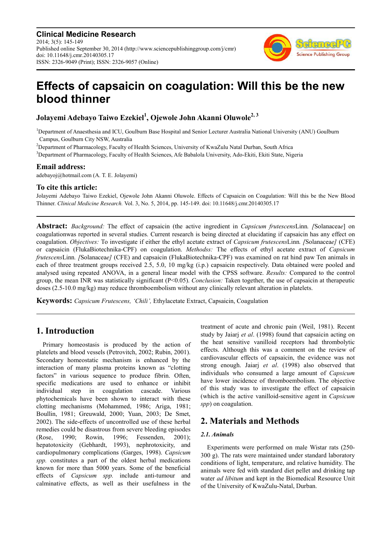**Clinical Medicine Research** 2014; 3(5): 145-149 Published online September 30, 2014 (http://www.sciencepublishinggroup.com/j/cmr) doi: 10.11648/j.cmr.20140305.17 ISSN: 2326-9049 (Print); ISSN: 2326-9057 (Online)



# **Effects of capsaicin on coagulation: Will this be the new blood thinner**

**Jolayemi Adebayo Taiwo Ezekiel<sup>1</sup> , Ojewole John Akanni Oluwole2, 3**

<sup>1</sup>Department of Anaesthesia and ICU, Goulburn Base Hospital and Senior Lecturer Australia National University (ANU) Goulburn Campus, Goulburn City NSW, Australia

<sup>2</sup>Department of Pharmacology, Faculty of Health Sciences, University of KwaZulu Natal Durban, South Africa

<sup>3</sup>Department of Pharmacology, Faculty of Health Sciences, Afe Babalola University, Ado-Ekiti, Ekiti State, Nigeria

### **Email address:**

adebayoj@hotmail.com (A. T. E. Jolayemi)

### **To cite this article:**

Jolayemi Adebayo Taiwo Ezekiel, Ojewole John Akanni Oluwole. Effects of Capsaicin on Coagulation: Will this be the New Blood Thinner. *Clinical Medicine Research.* Vol. 3, No. 5, 2014, pp. 145-149. doi: 10.11648/j.cmr.20140305.17

**Abstract:** *Background:* The effect of capsaicin (the active ingredient in *Capsicum frutescens*Linn*. [*Solanacea*e*] on coagulationwas reported in several studies. Current research is being directed at elucidating if capsaicin has any effect on coagulation. *Objectives:* To investigate if either the ethyl acetate extract of *Capsicum frutescens*Linn*. [*Solanacea*e]* (CFE) or capsaicin (FlukaBiotechnika-CPF) on coagulation. *Methodss:* The effects of ethyl acetate extract of *Capsicum frutescens*Linn*. [*Solanacea*e]* (CFE) and capsaicin (FlukaBiotechnika-CPF) was examined on rat hind paw Ten animals in each of three treatment groups received 2.5, 5.0, 10 mg/kg (i.p.) capsaicin respectively. Data obtained were pooled and analysed using repeated ANOVA, in a general linear model with the CPSS software. *Results:* Compared to the control group, the mean INR was statistically significant (P<0.05). *Conclusion:* Taken together, the use of capsaicin at therapeutic doses (2.5-10.0 mg/kg) may reduce thromboembolism without any clinically relevant alteration in platelets.

**Keywords:** *Capsicum Frutescens, 'Chili',* Ethylacetate Extract, Capsaicin, Coagulation

# **1. Introduction**

Primary homeostasis is produced by the action of platelets and blood vessels (Petrovitch, 2002; Rubin, 2001). Secondary homeostatic mechanism is enhanced by the interaction of many plasma proteins known as "clotting factors" in various sequence to produce fibrin. Often, specific medications are used to enhance or inhibit individual step in coagulation cascade. Various phytochemicals have been shown to interact with these clotting mechanisms (Mohammed, 1986; Ariga, 1981; Boullin, 1981; Greuwald, 2000; Yuan, 2003; De Smet, 2002). The side-effects of uncontrolled use of these herbal remedies could be disastrous from severe bleeding episodes (Rose, 1990; Rowin, 1996; Fessenden, 2001); hepatotoxicity (Gebhardt, 1993), nephrotoxicity, and cardiopulmonary complications (Garges, 1998). *Capsicum spp.* constitutes a part of the oldest herbal medications known for more than 5000 years. Some of the beneficial effects of *Capsicum spp.* include anti-tumour and calminative effects, as well as their usefulness in the

treatment of acute and chronic pain (Weil, 1981). Recent study by Jaiarj *et al*. (1998) found that capsaicin acting on the heat sensitive vanilloid receptors had thrombolytic effects. Although this was a comment on the review of cardiovascular effects of capsaicin, the evidence was not strong enough. Jaiarj *et al*. (1998) also observed that individuals who consumed a large amount of *Capsicum* have lower incidence of thromboembolism. The objective of this study was to investigate the effect of capsaicin (which is the active vanilloid-sensitive agent in *Capsicum spp*) on coagulation.

# **2. Materials and Methods**

#### *2.1. Animals*

Experiments were performed on male Wistar rats (250- 300 g). The rats were maintained under standard laboratory conditions of light, temperature, and relative humidity. The animals were fed with standard diet pellet and drinking tap water *ad libitum* and kept in the Biomedical Resource Unit of the University of KwaZulu-Natal, Durban.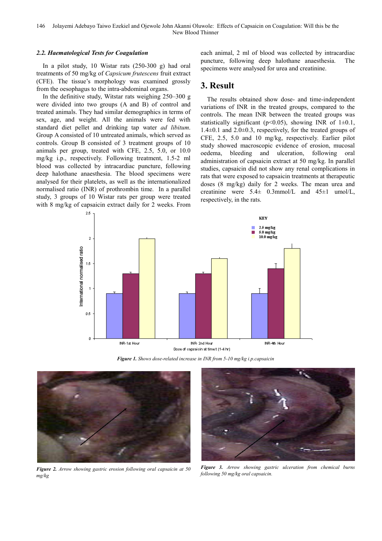#### *2.2. Haematological Tests for Coagulation*

In a pilot study, 10 Wistar rats (250-300 g) had oral treatments of 50 mg/kg of *Capsicum frutescens* fruit extract (CFE). The tissue's morphology was examined grossly from the oesophagus to the intra-abdominal organs.

In the definitive study, Witstar rats weighing 250–300 g were divided into two groups (A and B) of control and treated animals. They had similar demographics in terms of sex, age, and weight. All the animals were fed with standard diet pellet and drinking tap water *ad libitum*. Group A consisted of 10 untreated animals, which served as controls. Group B consisted of 3 treatment groups of 10 animals per group, treated with CFE, 2.5, 5.0, or 10.0 mg/kg i.p., respectively. Following treatment, 1.5-2 ml blood was collected by intracardiac puncture, following deep halothane anaesthesia. The blood specimens were analysed for their platelets, as well as the internationalized normalised ratio (INR) of prothrombin time. In a parallel study, 3 groups of 10 Wistar rats per group were treated with 8 mg/kg of capsaicin extract daily for 2 weeks. From

each animal, 2 ml of blood was collected by intracardiac puncture, following deep halothane anaesthesia. The specimens were analysed for urea and creatinine.

### **3. Result**

The results obtained show dose- and time-independent variations of INR in the treated groups, compared to the controls. The mean INR between the treated groups was statistically significant ( $p<0.05$ ), showing INR of 1 $\pm 0.1$ , 1.4±0.1 and 2.0±0.3, respectively, for the treated groups of CFE, 2.5, 5.0 and 10 mg/kg, respectively. Earlier pilot study showed macroscopic evidence of erosion, mucosal oedema, bleeding and ulceration, following oral administration of capsaicin extract at 50 mg/kg. In parallel studies, capsaicin did not show any renal complications in rats that were exposed to capsaicin treatments at therapeutic doses (8 mg/kg) daily for 2 weeks. The mean urea and creatinine were  $5.4\pm 0.3$ mmol/L and  $45\pm 1$  umol/L, respectively, in the rats.



Dose of capsaigin at time t (1-4 hr)





*Figure 2. Arrow showing gastric erosion following oral capsaicin at 50 mg/kg* 



*Figure 3. Arrow showing gastric ulceration from chemical burns following 50 mg/kg oral capsaicin.*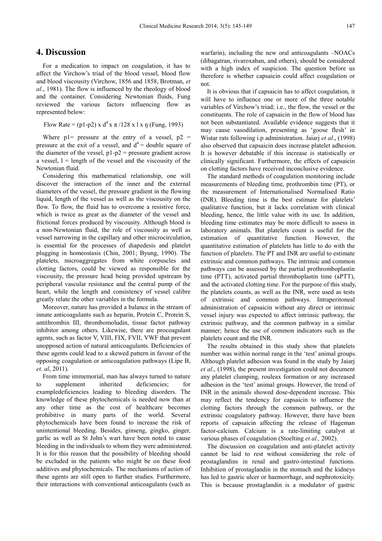### **4. Discussion**

For a medication to impact on coagulation, it has to affect the Virchow's triad of the blood vessel, blood flow and blood viscousity (Virchow, 1856 and 1858, Brotman, *et al*., 1981). The flow is influenced by the rheology of blood and the container. Considering Newtonian fluids, Fung reviewed the various factors influencing flow as represented below:

```
Flow Rate = (p1-p2) x d^4 x \pi / 128 x 1 x \eta (Fung, 1993)
```
Where  $p1$ = pressure at the entry of a vessel,  $p2$  = pressure at the exit of a vessel, and  $d^4$  = double square of the diameter of the vessel,  $p1-p2$  = pressure gradient across a vessel,  $l =$  length of the vessel and the viscousity of the Newtonian fluid.

Considering this mathematical relationship, one will discover the interaction of the inner and the external diameters of the vessel, the pressure gradient in the flowing liquid, length of the vessel as well as the viscousity on the flow. To flow, the fluid has to overcome a resistive force, which is twice as great as the diameter of the vessel and frictional forces produced by viscousity. Although blood is a non-Newtonian fluid, the role of viscousity as well as vessel narrowing in the capillary and other microcirculation, is essential for the processes of diapedesis and platelet plugging in homeostasis (Chin, 2001; Byung, 1990). The platelets, microaggregates from white corpuscles and clotting factors, could be viewed as responsible for the viscousity, the pressure head being provided upstream by peripheral vascular resistance and the central pump of the heart, while the length and consistency of vessel calibre greatly relate the other variables in the formula.

Moreover, nature has provided a balance in the stream of innate anticoagulants such as heparin, Protein C, Protein S, antithrombin III, thrombomoludin, tissue factor pathway inhibitor among others. Likewise, there are procoagulant agents, such as factor V, VIII, FIX, FVII, VWF that prevent unopposed action of natural anticoagulants. Deficiencies of these agents could lead to a skewed pattern in favour of the opposing coagulation or anticoagulation pathways (Lipe B, *et. al*, 2011).

From time immemorial, man has always turned to nature to supplement inherited deficiencies; for exampledeficiencies leading to bleeding disorders. The knowledge of these phytochemicals is needed now than at any other time as the cost of healthcare becomes prohibitive in many parts of the world. Several phytochemicals have been found to increase the risk of unintentional bleeding. Besides, ginseng, gingko, ginger, garlic as well as St John's wart have been noted to cause bleeding in the individuals to whom they were administered. It is for this reason that the possibility of bleeding should be excluded in the patients who might be on these food additives and phytochemicals. The mechanisms of action of these agents are still open to further studies. Furthermore, their interactions with conventional anticoagulants (such as

warfarin), including the new oral anticoagulants –NOACs (dibagatran, rivaroxaban, and others), should be considered with a high index of suspicion. The question before us therefore is whether capsaicin could affect coagulation or not.

It is obvious that if capsaicin has to affect coagulation, it will have to influence one or more of the three notable variables of Virchow's triad; i.e., the flow, the vessel or the constituents. The role of capsaicin in the flow of blood has not been substantiated. Available evidence suggests that it may cause vasodilation, presenting as 'goose flesh' in Wistar rats following i.p administration. Jaiarj *et al*., (1998) also observed that capsaicin does increase platelet adhesion. It is however debatable if this increase is statistically or clinically significant. Furthermore, the effects of capsaicin on clotting factors have received inconclusive evidence.

The standard methods of coagulation monitoring include measurements of bleeding time, prothrombin time (PT), or the measurement of Internationalised Normalised Ratio (INR). Bleeding time is the best estimate for platelets' qualitative function, but it lacks correlation with clinical bleeding, hence, the little value with its use. In addition, bleeding time estimates may be more difficult to assess in laboratory animals. But platelets count is useful for the estimation of quantitative function. However, the quantitative estimation of platelets has little to do with the function of platelets. The PT and INR are useful to estimate extrinsic and common pathways. The intrinsic and common pathways can be assessed by the partial prothromboplastin time (PTT), activated partial thromboplastin time (aPTT), and the activated clotting time. For the purpose of this study, the platelets counts, as well as the INR, were used as tests of extrinsic and common pathways. Intraperitoneal administration of capsaicin without any direct or intrinsic vessel injury was expected to affect intrinsic pathway, the extrinsic pathway, and the common pathway in a similar manner; hence the use of common indicators such as the platelets count and the INR.

The results obtained in this study show that platelets number was within normal range in the 'test' animal groups. Although platelet adhesion was found in the study by Jaiarj *et al*., (1998), the present investigation could not document any platelet clumping, rouleax formation or any increased adhesion in the 'test' animal groups. However, the trend of INR in the animals showed dose-dependent increase. This may reflect the tendency for capsaicin to influence the clotting factors through the common pathway, or the extrinsic coagulatory pathway. However, there have been reports of capsaicin affecting the release of Hageman factor-calcium. Calcium is a rate-limiting catalyst at various phases of coagulation (Stoelting *et al.,* 2002).

The discussion on coagulation and anti-platelet activity cannot be laid to rest without considering the role of prostaglandins in renal and gastro-intestinal functions. Inhibition of prostaglandin in the stomach and the kidneys has led to gastric ulcer or haemorrhage, and nephrotoxicity. This is because prostaglandin is a modulator of gastric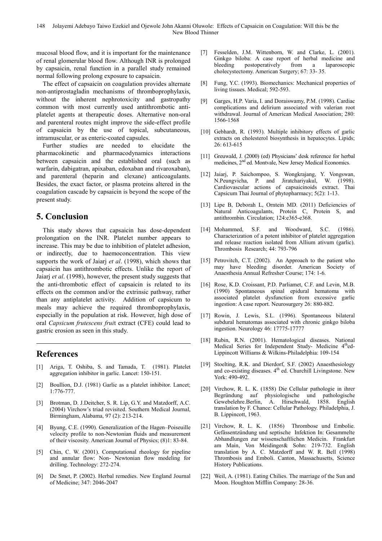mucosal blood flow, and it is important for the maintenance of renal glomerular blood flow. Although INR is prolonged by capsaicin, renal function in a parallel study remained normal following prolong exposure to capsaicin.

The effect of capsaicin on coagulation provides alternate non-antiprostagladin mechanisms of thromboprophylaxis, without the inherent nephrotoxicity and gastropathy common with most currently used antithrombotic antiplatelet agents at therapeutic doses. Alternative non-oral and parenteral routes might improve the side-effect profile of capsaicin by the use of topical, subcutaneous, intramuscular, or as enteric-coated capsules.

Further studies are needed to elucidate the pharmacokinetic and pharmacodynamics interactions between capsaicin and the established oral (such as warfarin, dabigatran, apixaban, edoxaban and rivaroxaban), and parenteral (heparin and clexane) anticoagulants. Besides, the exact factor, or plasma proteins altered in the coagulation cascade by capsaicin is beyond the scope of the present study.

## **5. Conclusion**

This study shows that capsaicin has dose-dependent prolongation on the INR. Platelet number appears to increase. This may be due to inhibition of platelet adhesion, or indirectly, due to haemoconcentration. This view supports the work of Jaiarj *et al*. (1998), which shows that capsaicin has antithrombotic effects. Unlike the report of Jaiarj *et al*. (1998), however, the present study suggests that the anti-thrombotic effect of capsaicin is related to its effects on the common and/or the extrinsic pathway, rather than any antiplatelet activity. Addition of capsicum to meals may achieve the required thromboprophylaxis, especially in the population at risk. However, high dose of oral *Capsicum frutescens frui*t extract (CFE) could lead to gastric erosion as seen in this study.

# **References**

- [1] Ariga, T. Oshiba, S. and Tamada, T. (1981). Platelet aggregation inhibitor in garlic. Lancet: 150-151.
- [2] Boullion, D.J. (1981) Garlic as a platelet inhibitor. Lancet; 1:776-777.
- [3] Brotman, D. J.Deitcher, S. R. Lip, G.Y. and Matzdorff, A.C. (2004) Virchow's triad revisited. Southern Medical Journal, Birmingham, Alabama, 97 (2): 213-214.
- [4] Byung, C.E. (1990). Generalization of the Hagen–Poiseuille velocity profile to non-Newtonian fluids and measurement of their viscosity. American Journal of Physics; (8)1: 83-84.
- [5] Chin, C. W. (2001). Computational rheology for pipeline and annular flow: Non- Newtonian flow modeling for drilling. Technology: 272-274.
- [6] De Smet, P. (2002). Herbal remedies. New England Journal of Medicine; 347: 2046-2047
- [7] Fesselden, J.M. Wittenborn, W. and Clarke, L. (2001). Ginkgo biloba: A case report of herbal medicine and bleeding postoperatively from a laparoscopic cholecystectomy. American Surgery; 67: 33- 35.
- [8] Fung, Y.C. (1993). Biomechanics: Mechanical properties of living tissues. Medical; 592-593.
- [9] Garges, H.P. Varia, I. and Doraiswamy, P.M. (1998). Cardiac complications and delirium associated with valerian root withdrawal. Journal of American Medical Association; 280: 1566-1568
- [10] Gebhardt, R. (1993). Multiple inhibitory effects of garlic extracts on cholesterol biosynthesis in hepatocytes. Lipids; 26: 613-615
- [11] Greuwald, J. (2000) (ed) Physicians' desk reference for herbal medicines, 2<sup>nd</sup> ed. Montvale, New Jersey Medical Economics.
- [12] Jaiarj, P. Saichompoo, S. Wongkrajang, Y. Vongswan, N.Peungvicha, P. and Jiratchariyakul, W. (1998). Cardiovascular actions of capsaicinoids extract. Thai Capsicum Thai Journal of phytopharmacy; 5(2): 1-13.
- [13] Lipe B, Deborah L, Orntein MD. (2011) Deficiencies of Natural Anticoagulants, Protein C, Protein S, and antithrombin. Circulation; 124:e365-e368.
- [14] Mohammed, S.F. and Woodward, S.C. (1986). Characterization of a potent inhibitor of platelet aggregation and release reaction isolated from Allium ativum (garlic). Thrombosis Research; 44: 793-796
- [15] Petrovitch, C.T. (2002). An Approach to the patient who may have bleeding disorder. American Society of Anaesthesia Annual Refresher Course; 174: 1-6.
- [16] Rose, K.D. Croissant, P.D. Parliamet, C.F. and Levin, M.B. (1990) Spontaneous spinal epidural hematoma with associated platelet dysfunction from excessive garlic ingestion: A case report. Neurosurgery 26: 880-882.
- [17] Rowin, J. Lewis, S.L. (1996). Spontaneous bilateral subdural hematomas associated with chronic ginkgo biloba ingestion. Neurology 46: 17775-17777
- [18] Rubin, R.N. (2001). Hematological diseases. National Medical Series for Independent Study- Medicine 4<sup>th</sup>ed-Lippincott Williams & Wilkins-Philadelphia: 109-154
- [19] Stoelting, R.K. and Dierdorf, S.F. (2002) Anaesthesiology and co-existing diseases. 4<sup>th</sup> ed. Churchill Livingstone. New York: 490-492.
- [20] Virchow, R. L. K. (1858) Die Cellular pathologie in ihrer Begründung auf physiologische und pathologische Gewebelehre.Berlin, A. Hirschwald, 1858. English translation by F. Chance: Cellular Pathology. Philadelphia, J. B. Lippincott, 1963.
- [21] Virchow, R. L. K. (1856) Thrombose und Embolie. Gefässentzündung und septische Infektion In: Gesammelte Abhandlungen zur wissenschaftlichen Medicin. Frankfurt am Main, Von Meidinger& Sohn: 219-732. English translation by A. C. Matzdorff and W. R. Bell (1998) Thrombosis and Emboli. Canton, Massachusetts, Science History Publications.
- [22] Weil, A. (1981). Eating Chilies. The marriage of the Sun and Moon. Houghton Mifflin Company: 28-36.